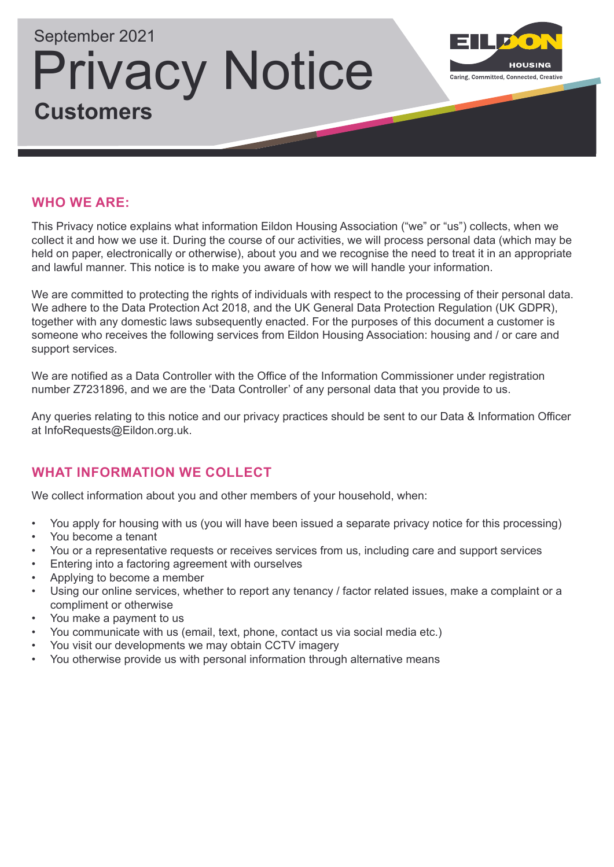

# **WHO WE ARE:**

This Privacy notice explains what information Eildon Housing Association ("we" or "us") collects, when we collect it and how we use it. During the course of our activities, we will process personal data (which may be held on paper, electronically or otherwise), about you and we recognise the need to treat it in an appropriate and lawful manner. This notice is to make you aware of how we will handle your information.

We are committed to protecting the rights of individuals with respect to the processing of their personal data. We adhere to the Data Protection Act 2018, and the UK General Data Protection Regulation (UK GDPR), together with any domestic laws subsequently enacted. For the purposes of this document a customer is someone who receives the following services from Eildon Housing Association: housing and / or care and support services.

We are notified as a Data Controller with the Office of the Information Commissioner under registration number Z7231896, and we are the 'Data Controller' of any personal data that you provide to us.

Any queries relating to this notice and our privacy practices should be sent to our Data & Information Officer at InfoRequests@Eildon.org.uk.

# **WHAT INFORMATION WE COLLECT**

We collect information about you and other members of your household, when:

- You apply for housing with us (you will have been issued a separate privacy notice for this processing)
- You become a tenant
- You or a representative requests or receives services from us, including care and support services
- Entering into a factoring agreement with ourselves
- Applying to become a member
- Using our online services, whether to report any tenancy / factor related issues, make a complaint or a compliment or otherwise
- You make a payment to us
- You communicate with us (email, text, phone, contact us via social media etc.)
- You visit our developments we may obtain CCTV imagery
- You otherwise provide us with personal information through alternative means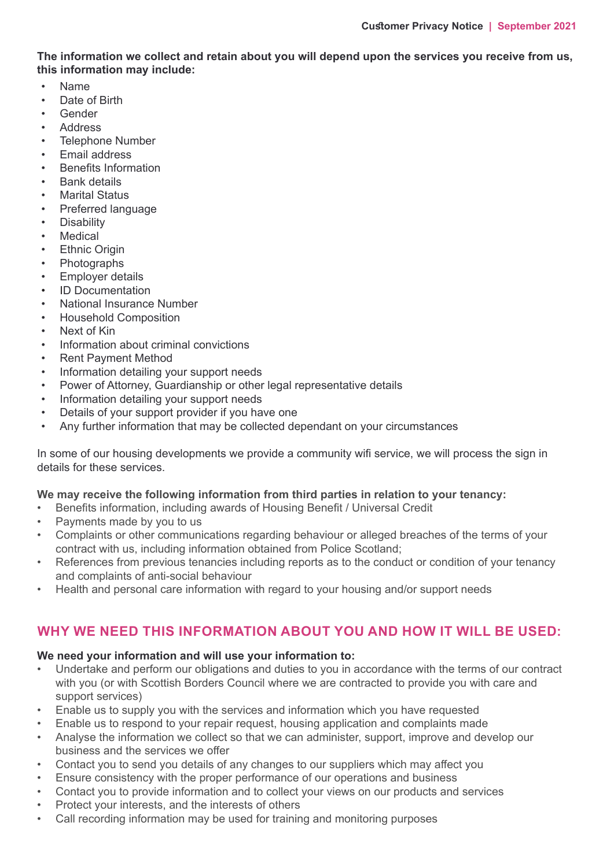**The information we collect and retain about you will depend upon the services you receive from us, this information may include:**

- Name
- Date of Birth
- Gender
- **Address**
- Telephone Number
- Email address
- Benefits Information
- Bank details
- Marital Status
- Preferred language
- **Disability**
- **Medical**
- **Ethnic Origin**
- **Photographs**
- **Employer details**
- ID Documentation
- National Insurance Number
- Household Composition
- Next of Kin
- Information about criminal convictions
- Rent Payment Method
- Information detailing your support needs
- Power of Attorney, Guardianship or other legal representative details
- Information detailing your support needs
- Details of your support provider if you have one
- Any further information that may be collected dependant on your circumstances

In some of our housing developments we provide a community wifi service, we will process the sign in details for these services.

#### **We may receive the following information from third parties in relation to your tenancy:**

- Benefits information, including awards of Housing Benefit / Universal Credit
- Payments made by you to us
- Complaints or other communications regarding behaviour or alleged breaches of the terms of your contract with us, including information obtained from Police Scotland;
- References from previous tenancies including reports as to the conduct or condition of your tenancy and complaints of anti-social behaviour
- Health and personal care information with regard to your housing and/or support needs

# **WHY WE NEED THIS INFORMATION ABOUT YOU AND HOW IT WILL BE USED:**

#### **We need your information and will use your information to:**

- Undertake and perform our obligations and duties to you in accordance with the terms of our contract with you (or with Scottish Borders Council where we are contracted to provide you with care and support services)
- Enable us to supply you with the services and information which you have requested
- Enable us to respond to your repair request, housing application and complaints made
- Analyse the information we collect so that we can administer, support, improve and develop our business and the services we offer
- Contact you to send you details of any changes to our suppliers which may affect you
- Ensure consistency with the proper performance of our operations and business
- Contact you to provide information and to collect your views on our products and services
- Protect your interests, and the interests of others
- Call recording information may be used for training and monitoring purposes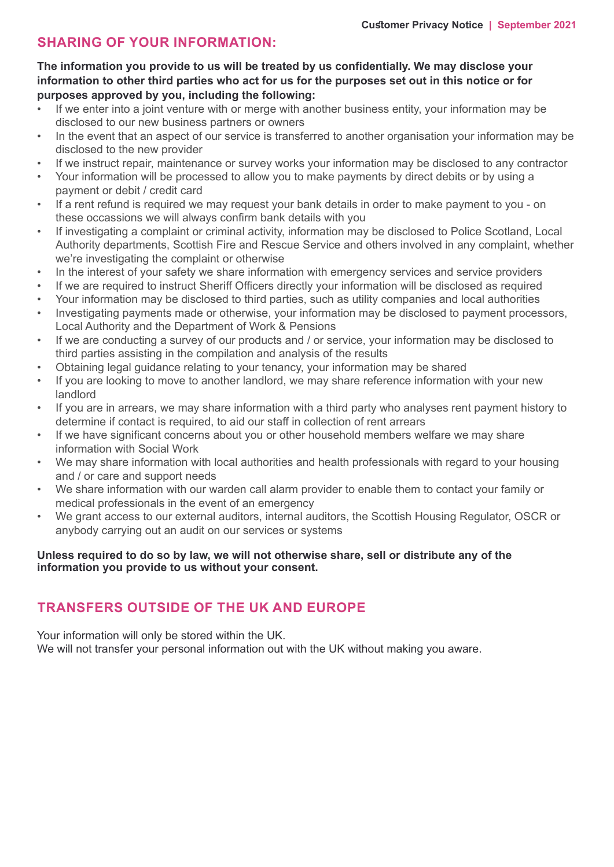# **SHARING OF YOUR INFORMATION:**

#### **The information you provide to us will be treated by us confidentially. We may disclose your information to other third parties who act for us for the purposes set out in this notice or for purposes approved by you, including the following:**

- If we enter into a joint venture with or merge with another business entity, your information may be disclosed to our new business partners or owners
- In the event that an aspect of our service is transferred to another organisation your information may be disclosed to the new provider
- If we instruct repair, maintenance or survey works your information may be disclosed to any contractor
- Your information will be processed to allow you to make payments by direct debits or by using a payment or debit / credit card
- If a rent refund is required we may request your bank details in order to make payment to you on these occassions we will always confirm bank details with you
- If investigating a complaint or criminal activity, information may be disclosed to Police Scotland, Local Authority departments, Scottish Fire and Rescue Service and others involved in any complaint, whether we're investigating the complaint or otherwise
- In the interest of your safety we share information with emergency services and service providers
- If we are required to instruct Sheriff Officers directly your information will be disclosed as required
- Your information may be disclosed to third parties, such as utility companies and local authorities
- Investigating payments made or otherwise, your information may be disclosed to payment processors, Local Authority and the Department of Work & Pensions
- If we are conducting a survey of our products and / or service, your information may be disclosed to third parties assisting in the compilation and analysis of the results
- Obtaining legal guidance relating to your tenancy, your information may be shared
- If you are looking to move to another landlord, we may share reference information with your new landlord
- If you are in arrears, we may share information with a third party who analyses rent payment history to determine if contact is required, to aid our staff in collection of rent arrears
- If we have significant concerns about you or other household members welfare we may share information with Social Work
- We may share information with local authorities and health professionals with regard to your housing and / or care and support needs
- We share information with our warden call alarm provider to enable them to contact your family or medical professionals in the event of an emergency
- We grant access to our external auditors, internal auditors, the Scottish Housing Regulator, OSCR or anybody carrying out an audit on our services or systems

#### **Unless required to do so by law, we will not otherwise share, sell or distribute any of the information you provide to us without your consent.**

# **TRANSFERS OUTSIDE OF THE UK AND EUROPE**

Your information will only be stored within the UK. We will not transfer your personal information out with the UK without making you aware.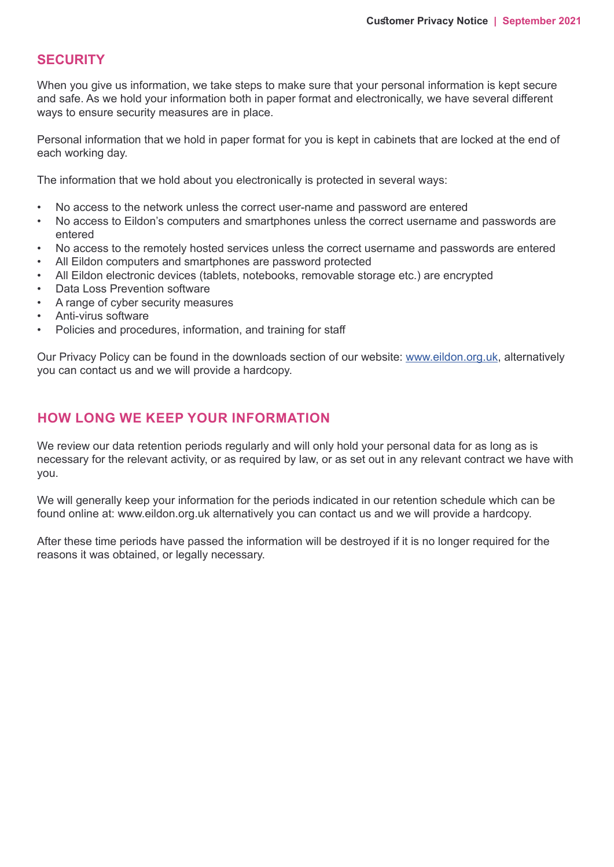### **SECURITY**

When you give us information, we take steps to make sure that your personal information is kept secure and safe. As we hold your information both in paper format and electronically, we have several different ways to ensure security measures are in place.

Personal information that we hold in paper format for you is kept in cabinets that are locked at the end of each working day.

The information that we hold about you electronically is protected in several ways:

- No access to the network unless the correct user-name and password are entered
- No access to Eildon's computers and smartphones unless the correct username and passwords are entered
- No access to the remotely hosted services unless the correct username and passwords are entered
- All Eildon computers and smartphones are password protected
- All Eildon electronic devices (tablets, notebooks, removable storage etc.) are encrypted
- Data Loss Prevention software
- A range of cyber security measures
- Anti-virus software
- Policies and procedures, information, and training for staff

Our Privacy Policy can be found in the downloads section of our website: www.eildon.org.uk, alternatively you can contact us and we will provide a hardcopy.

# **HOW LONG WE KEEP YOUR INFORMATION**

We review our data retention periods regularly and will only hold your personal data for as long as is necessary for the relevant activity, or as required by law, or as set out in any relevant contract we have with you.

We will generally keep your information for the periods indicated in our retention schedule which can be found online at: www.eildon.org.uk alternatively you can contact us and we will provide a hardcopy.

After these time periods have passed the information will be destroyed if it is no longer required for the reasons it was obtained, or legally necessary.